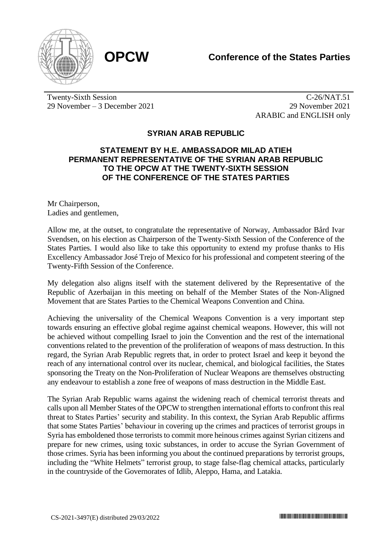



Twenty-Sixth Session 29 November – 3 December 2021

C-26/NAT.51 29 November 2021 ARABIC and ENGLISH only

## **SYRIAN ARAB REPUBLIC**

## **STATEMENT BY H.E. AMBASSADOR MILAD ATIEH PERMANENT REPRESENTATIVE OF THE SYRIAN ARAB REPUBLIC TO THE OPCW AT THE TWENTY-SIXTH SESSION OF THE CONFERENCE OF THE STATES PARTIES**

Mr Chairperson, Ladies and gentlemen,

Allow me, at the outset, to congratulate the representative of Norway, Ambassador Bård Ivar Svendsen, on his election as Chairperson of the Twenty-Sixth Session of the Conference of the States Parties. I would also like to take this opportunity to extend my profuse thanks to His Excellency Ambassador José Trejo of Mexico for his professional and competent steering of the Twenty-Fifth Session of the Conference.

My delegation also aligns itself with the statement delivered by the Representative of the Republic of Azerbaijan in this meeting on behalf of the Member States of the Non-Aligned Movement that are States Parties to the Chemical Weapons Convention and China.

Achieving the universality of the Chemical Weapons Convention is a very important step towards ensuring an effective global regime against chemical weapons. However, this will not be achieved without compelling Israel to join the Convention and the rest of the international conventions related to the prevention of the proliferation of weapons of mass destruction. In this regard, the Syrian Arab Republic regrets that, in order to protect Israel and keep it beyond the reach of any international control over its nuclear, chemical, and biological facilities, the States sponsoring the Treaty on the Non-Proliferation of Nuclear Weapons are themselves obstructing any endeavour to establish a zone free of weapons of mass destruction in the Middle East.

The Syrian Arab Republic warns against the widening reach of chemical terrorist threats and calls upon all Member States of the OPCW to strengthen international efforts to confront this real threat to States Parties' security and stability. In this context, the Syrian Arab Republic affirms that some States Parties' behaviour in covering up the crimes and practices of terrorist groups in Syria has emboldened those terrorists to commit more heinous crimes against Syrian citizens and prepare for new crimes, using toxic substances, in order to accuse the Syrian Government of those crimes. Syria has been informing you about the continued preparations by terrorist groups, including the "White Helmets" terrorist group, to stage false-flag chemical attacks, particularly in the countryside of the Governorates of Idlib, Aleppo, Hama, and Latakia.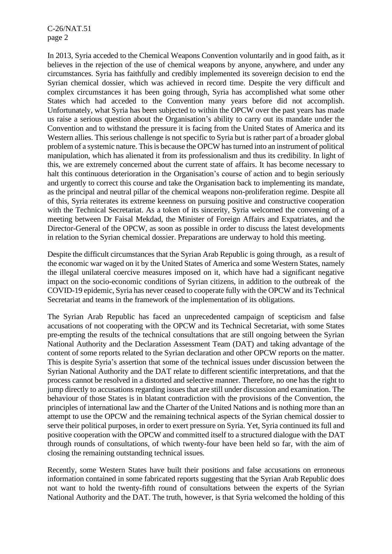C-26/NAT.51 page 2

In 2013, Syria acceded to the Chemical Weapons Convention voluntarily and in good faith, as it believes in the rejection of the use of chemical weapons by anyone, anywhere, and under any circumstances. Syria has faithfully and credibly implemented its sovereign decision to end the Syrian chemical dossier, which was achieved in record time. Despite the very difficult and complex circumstances it has been going through, Syria has accomplished what some other States which had acceded to the Convention many years before did not accomplish. Unfortunately, what Syria has been subjected to within the OPCW over the past years has made us raise a serious question about the Organisation's ability to carry out its mandate under the Convention and to withstand the pressure it is facing from the United States of America and its Western allies. This serious challenge is not specific to Syria but is rather part of a broader global problem of a systemic nature. This is because the OPCW has turned into an instrument of political manipulation, which has alienated it from its professionalism and thus its credibility. In light of this, we are extremely concerned about the current state of affairs. It has become necessary to halt this continuous deterioration in the Organisation's course of action and to begin seriously and urgently to correct this course and take the Organisation back to implementing its mandate, as the principal and neutral pillar of the chemical weapons non-proliferation regime. Despite all of this, Syria reiterates its extreme keenness on pursuing positive and constructive cooperation with the Technical Secretariat. As a token of its sincerity, Syria welcomed the convening of a meeting between Dr Faisal Mekdad, the Minister of Foreign Affairs and Expatriates, and the Director-General of the OPCW, as soon as possible in order to discuss the latest developments in relation to the Syrian chemical dossier. Preparations are underway to hold this meeting.

Despite the difficult circumstances that the Syrian Arab Republic is going through, as a result of the economic war waged on it by the United States of America and some Western States, namely the illegal unilateral coercive measures imposed on it, which have had a significant negative impact on the socio-economic conditions of Syrian citizens, in addition to the outbreak of the COVID-19 epidemic, Syria has never ceased to cooperate fully with the OPCW and its Technical Secretariat and teams in the framework of the implementation of its obligations.

The Syrian Arab Republic has faced an unprecedented campaign of scepticism and false accusations of not cooperating with the OPCW and its Technical Secretariat, with some States pre-empting the results of the technical consultations that are still ongoing between the Syrian National Authority and the Declaration Assessment Team (DAT) and taking advantage of the content of some reports related to the Syrian declaration and other OPCW reports on the matter. This is despite Syria's assertion that some of the technical issues under discussion between the Syrian National Authority and the DAT relate to different scientific interpretations, and that the process cannot be resolved in a distorted and selective manner. Therefore, no one has the right to jump directly to accusations regarding issues that are still under discussion and examination. The behaviour of those States is in blatant contradiction with the provisions of the Convention, the principles of international law and the Charter of the United Nations and is nothing more than an attempt to use the OPCW and the remaining technical aspects of the Syrian chemical dossier to serve their political purposes, in order to exert pressure on Syria. Yet, Syria continued its full and positive cooperation with the OPCW and committed itself to a structured dialogue with the DAT through rounds of consultations, of which twenty-four have been held so far, with the aim of closing the remaining outstanding technical issues.

Recently, some Western States have built their positions and false accusations on erroneous information contained in some fabricated reports suggesting that the Syrian Arab Republic does not want to hold the twenty-fifth round of consultations between the experts of the Syrian National Authority and the DAT. The truth, however, is that Syria welcomed the holding of this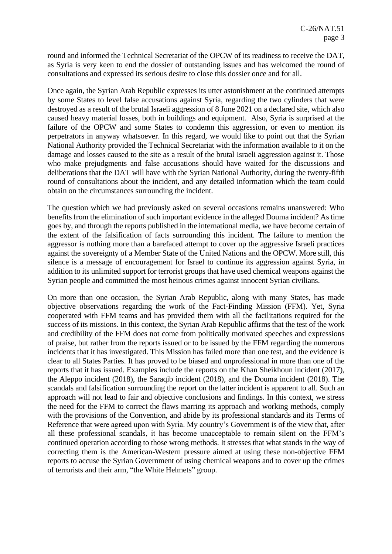round and informed the Technical Secretariat of the OPCW of its readiness to receive the DAT, as Syria is very keen to end the dossier of outstanding issues and has welcomed the round of consultations and expressed its serious desire to close this dossier once and for all.

Once again, the Syrian Arab Republic expresses its utter astonishment at the continued attempts by some States to level false accusations against Syria, regarding the two cylinders that were destroyed as a result of the brutal Israeli aggression of 8 June 2021 on a declared site, which also caused heavy material losses, both in buildings and equipment. Also, Syria is surprised at the failure of the OPCW and some States to condemn this aggression, or even to mention its perpetrators in anyway whatsoever. In this regard, we would like to point out that the Syrian National Authority provided the Technical Secretariat with the information available to it on the damage and losses caused to the site as a result of the brutal Israeli aggression against it. Those who make prejudgments and false accusations should have waited for the discussions and deliberations that the DAT will have with the Syrian National Authority, during the twenty-fifth round of consultations about the incident, and any detailed information which the team could obtain on the circumstances surrounding the incident.

The question which we had previously asked on several occasions remains unanswered: Who benefits from the elimination of such important evidence in the alleged Douma incident? As time goes by, and through the reports published in the international media, we have become certain of the extent of the falsification of facts surrounding this incident. The failure to mention the aggressor is nothing more than a barefaced attempt to cover up the aggressive Israeli practices against the sovereignty of a Member State of the United Nations and the OPCW. More still, this silence is a message of encouragement for Israel to continue its aggression against Syria, in addition to its unlimited support for terrorist groups that have used chemical weapons against the Syrian people and committed the most heinous crimes against innocent Syrian civilians.

On more than one occasion, the Syrian Arab Republic, along with many States, has made objective observations regarding the work of the Fact-Finding Mission (FFM). Yet, Syria cooperated with FFM teams and has provided them with all the facilitations required for the success of its missions. In this context, the Syrian Arab Republic affirms that the test of the work and credibility of the FFM does not come from politically motivated speeches and expressions of praise, but rather from the reports issued or to be issued by the FFM regarding the numerous incidents that it has investigated. This Mission has failed more than one test, and the evidence is clear to all States Parties. It has proved to be biased and unprofessional in more than one of the reports that it has issued. Examples include the reports on the Khan Sheikhoun incident (2017), the Aleppo incident (2018), the Saraqib incident (2018), and the Douma incident (2018). The scandals and falsification surrounding the report on the latter incident is apparent to all. Such an approach will not lead to fair and objective conclusions and findings. In this context, we stress the need for the FFM to correct the flaws marring its approach and working methods, comply with the provisions of the Convention, and abide by its professional standards and its Terms of Reference that were agreed upon with Syria. My country's Government is of the view that, after all these professional scandals, it has become unacceptable to remain silent on the FFM's continued operation according to those wrong methods. It stresses that what stands in the way of correcting them is the American-Western pressure aimed at using these non-objective FFM reports to accuse the Syrian Government of using chemical weapons and to cover up the crimes of terrorists and their arm, "the White Helmets" group.